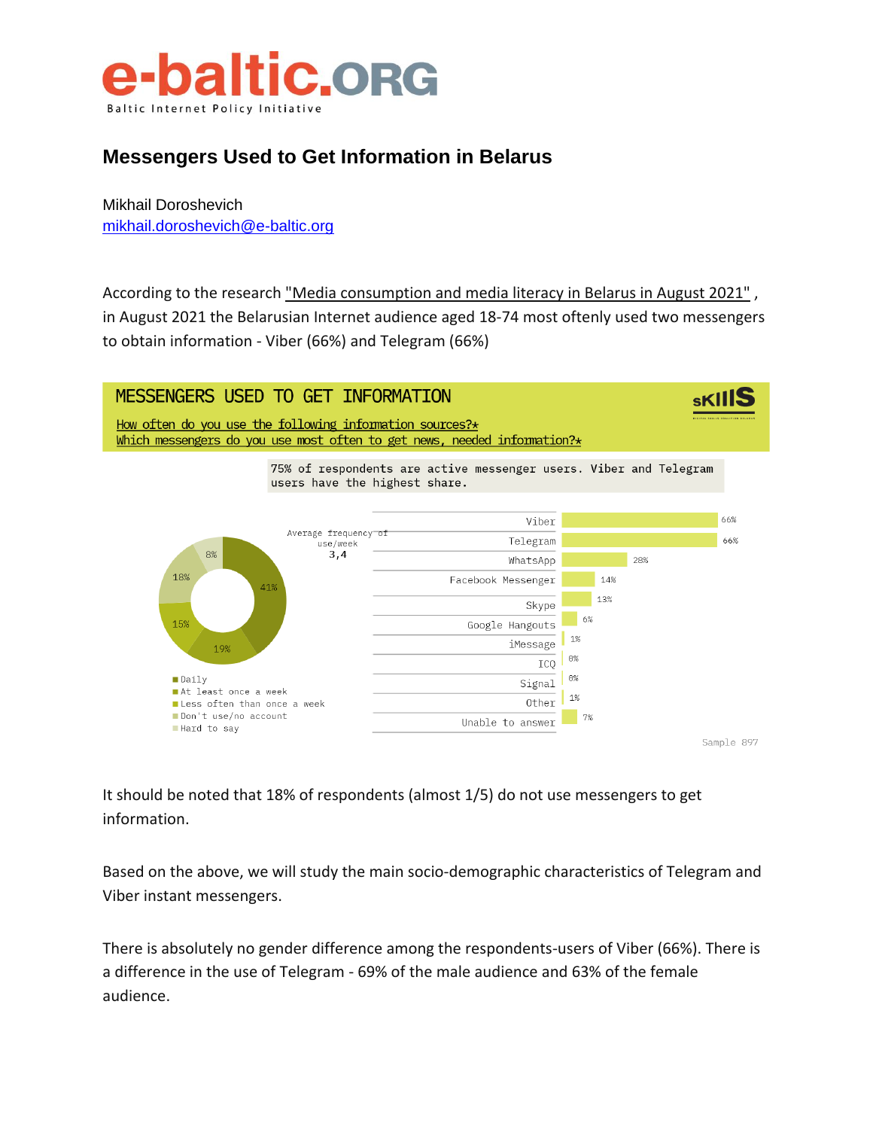

#### **Messengers Used to Get Information in Belarus**

Mikhail Doroshevich [mikhail.doroshevich@e-baltic.org](mailto:mikhail.doroshevich@e-baltic.org)

According to the research ["Media consumption and media literacy in Belarus in August 2021"](https://digitalskills.by/2021/10/08/prezentatsiya-i-obsuzhdenie-issledovaniya-mediapotreblenie-i-mediagramotnost-v-belarusi-v-avguste-2021/), in August 2021 the Belarusian Internet audience aged 18-74 most oftenly used two messengers to obtain information - Viber (66%) and Telegram (66%)



It should be noted that 18% of respondents (almost 1/5) do not use messengers to get information.

Based on the above, we will study the main socio-demographic characteristics of Telegram and Viber instant messengers.

There is absolutely no gender difference among the respondents-users of Viber (66%). There is a difference in the use of Telegram - 69% of the male audience and 63% of the female audience.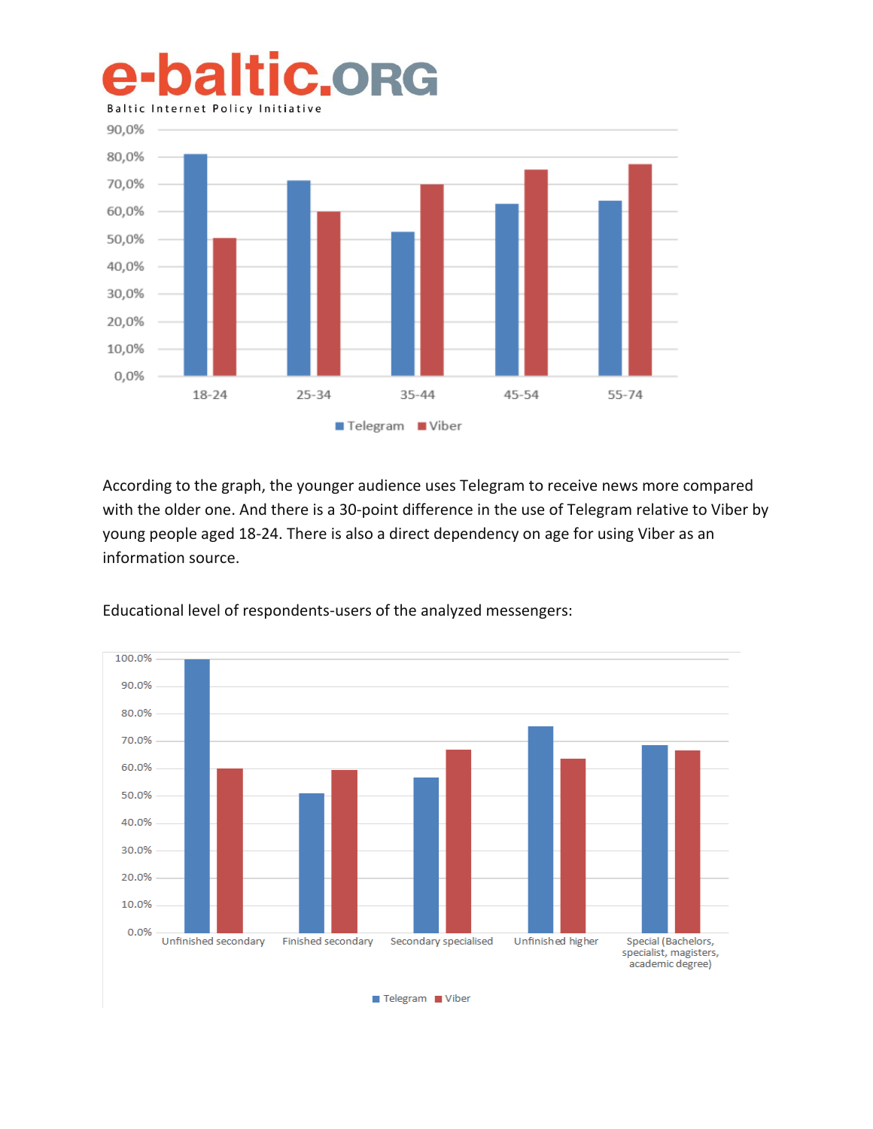# **baltic.org Baltic Internet Policy Initiative**



According to the graph, the younger audience uses Telegram to receive news more compared with the older one. And there is a 30-point difference in the use of Telegram relative to Viber by young people aged 18-24. There is also a direct dependency on age for using Viber as an information source.



Educational level of respondents-users of the analyzed messengers:

Telegram Viber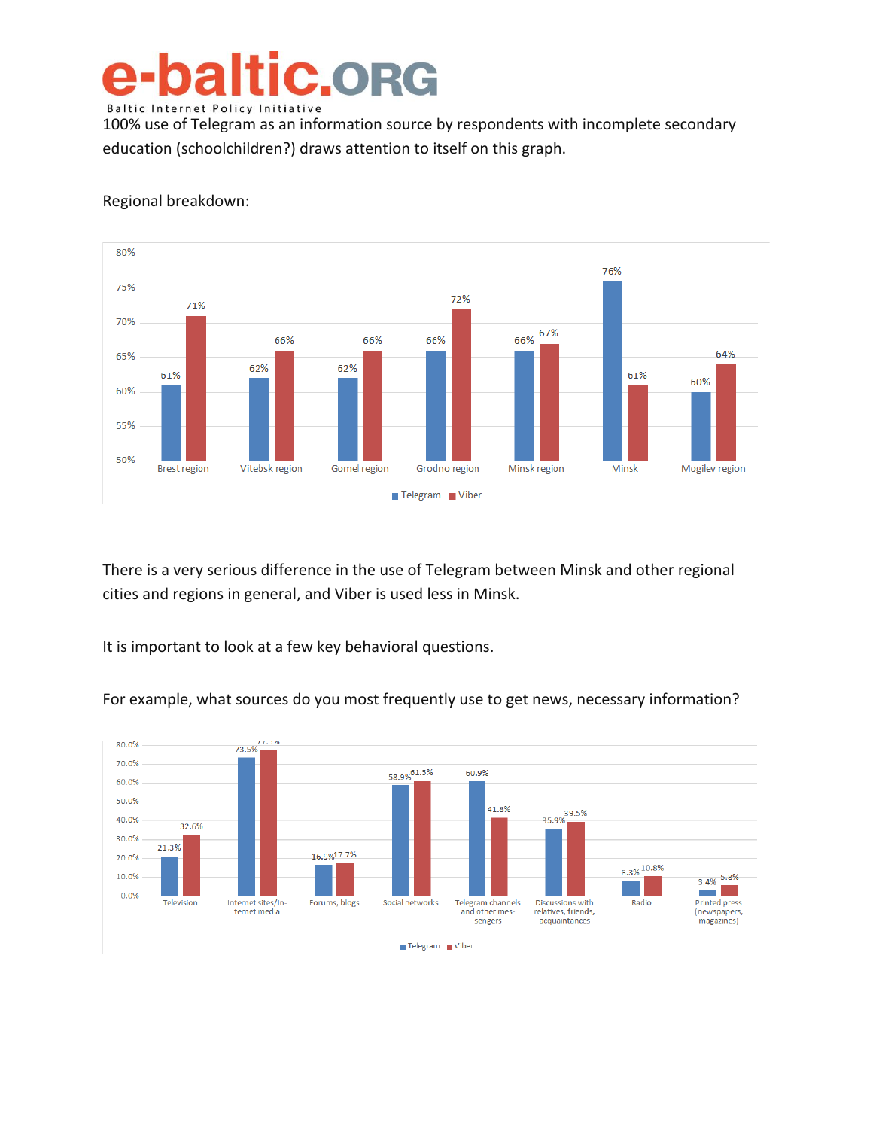#### e-baltic.org Baltic Internet Policy Initiative

100% use of Telegram as an information source by respondents with incomplete secondary education (schoolchildren?) draws attention to itself on this graph.



#### Regional breakdown:

There is a very serious difference in the use of Telegram between Minsk and other regional cities and regions in general, and Viber is used less in Minsk.

It is important to look at a few key behavioral questions.



For example, what sources do you most frequently use to get news, necessary information?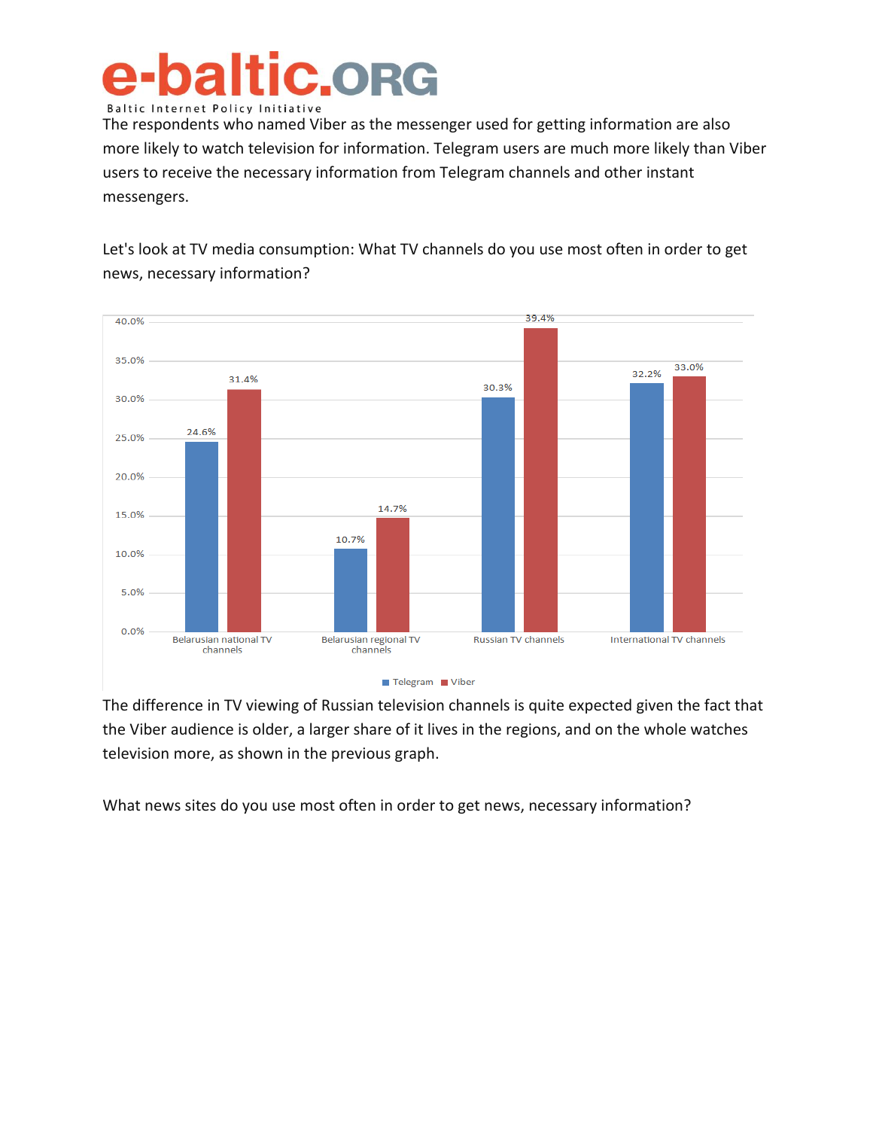### **baltic.org Baltic Internet Policy Initiative**

The respondents who named Viber as the messenger used for getting information are also more likely to watch television for information. Telegram users are much more likely than Viber users to receive the necessary information from Telegram channels and other instant messengers.

Let's look at TV media consumption: What TV channels do you use most often in order to get news, necessary information?



The difference in TV viewing of Russian television channels is quite expected given the fact that the Viber audience is older, a larger share of it lives in the regions, and on the whole watches television more, as shown in the previous graph.

What news sites do you use most often in order to get news, necessary information?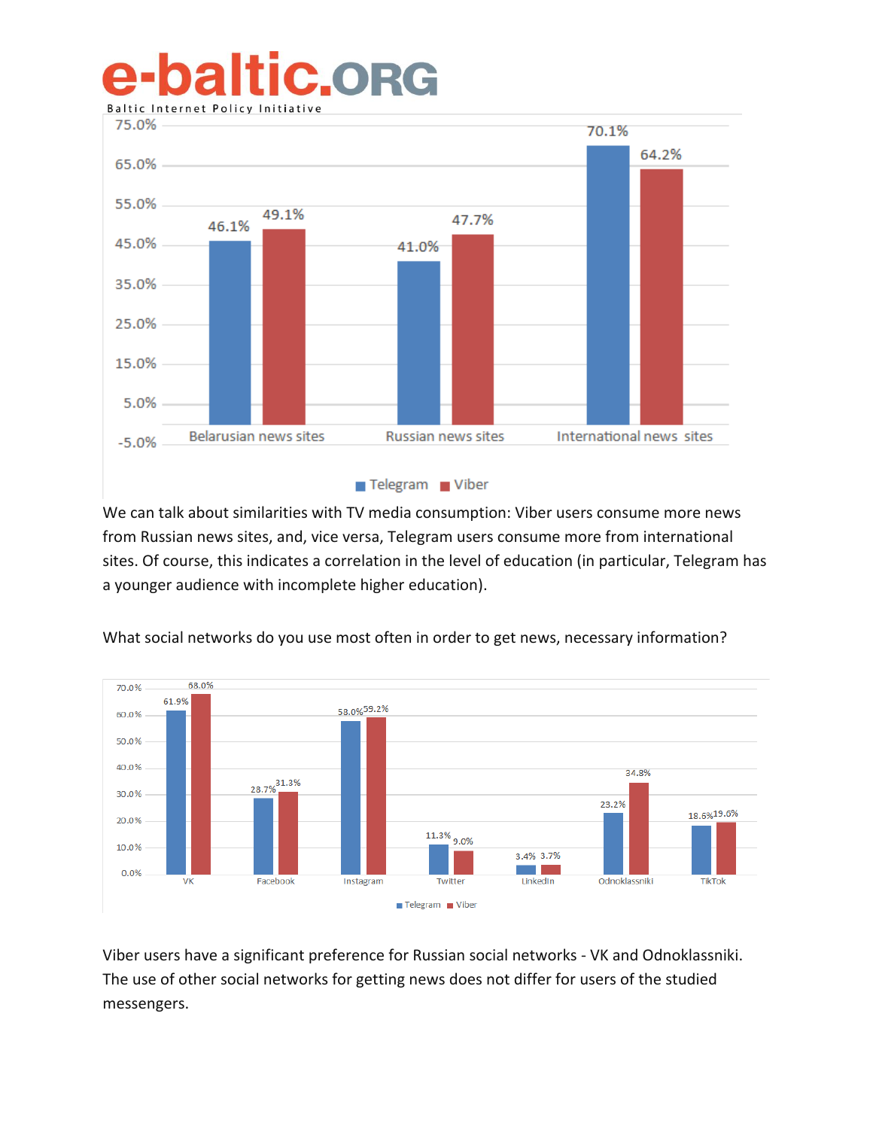### **baltic.org Baltic Internet Policy Initiativ**



We can talk about similarities with TV media consumption: Viber users consume more news from Russian news sites, and, vice versa, Telegram users consume more from international sites. Of course, this indicates a correlation in the level of education (in particular, Telegram has a younger audience with incomplete higher education).



What social networks do you use most often in order to get news, necessary information?

Viber users have a significant preference for Russian social networks - VK and Odnoklassniki. The use of other social networks for getting news does not differ for users of the studied messengers.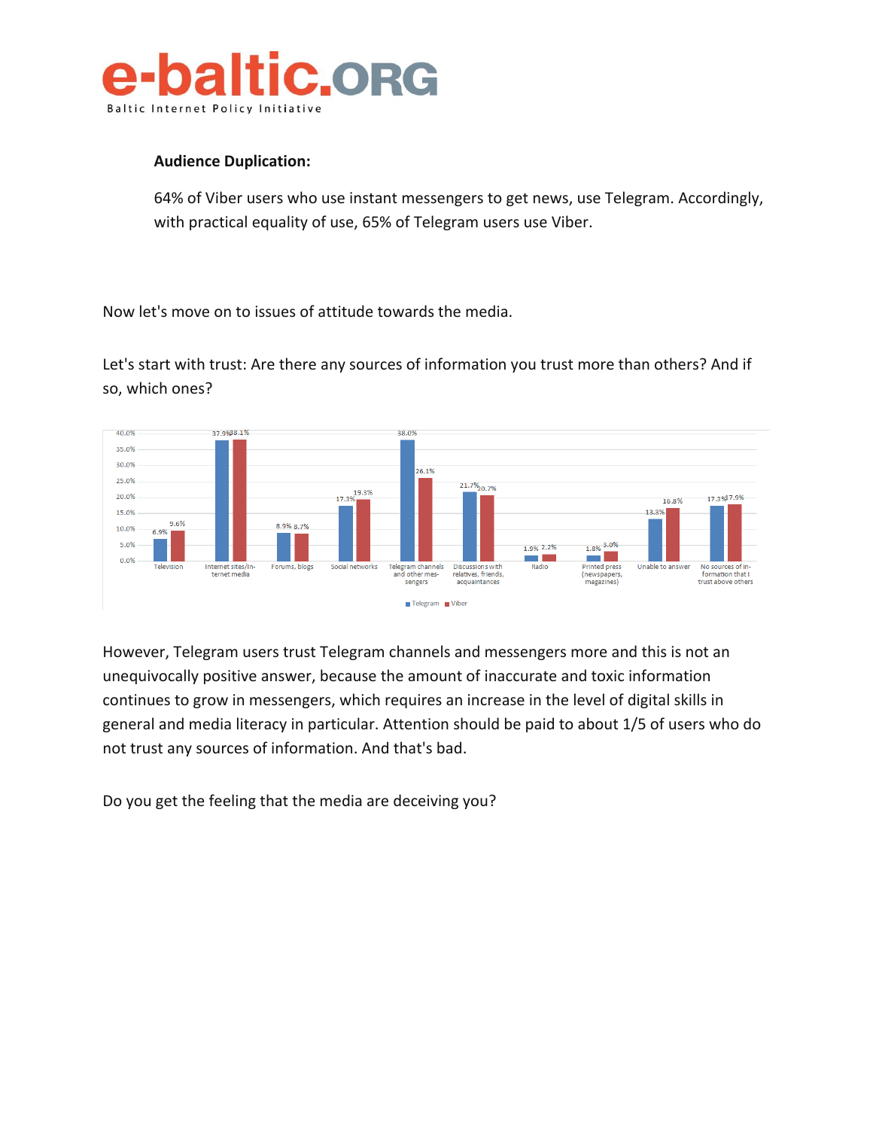

#### **Audience Duplication:**

64% of Viber users who use instant messengers to get news, use Telegram. Accordingly, with practical equality of use, 65% of Telegram users use Viber.

Now let's move on to issues of attitude towards the media.

Let's start with trust: Are there any sources of information you trust more than others? And if so, which ones?



However, Telegram users trust Telegram channels and messengers more and this is not an unequivocally positive answer, because the amount of inaccurate and toxic information continues to grow in messengers, which requires an increase in the level of digital skills in general and media literacy in particular. Attention should be paid to about 1/5 of users who do not trust any sources of information. And that's bad.

Do you get the feeling that the media are deceiving you?